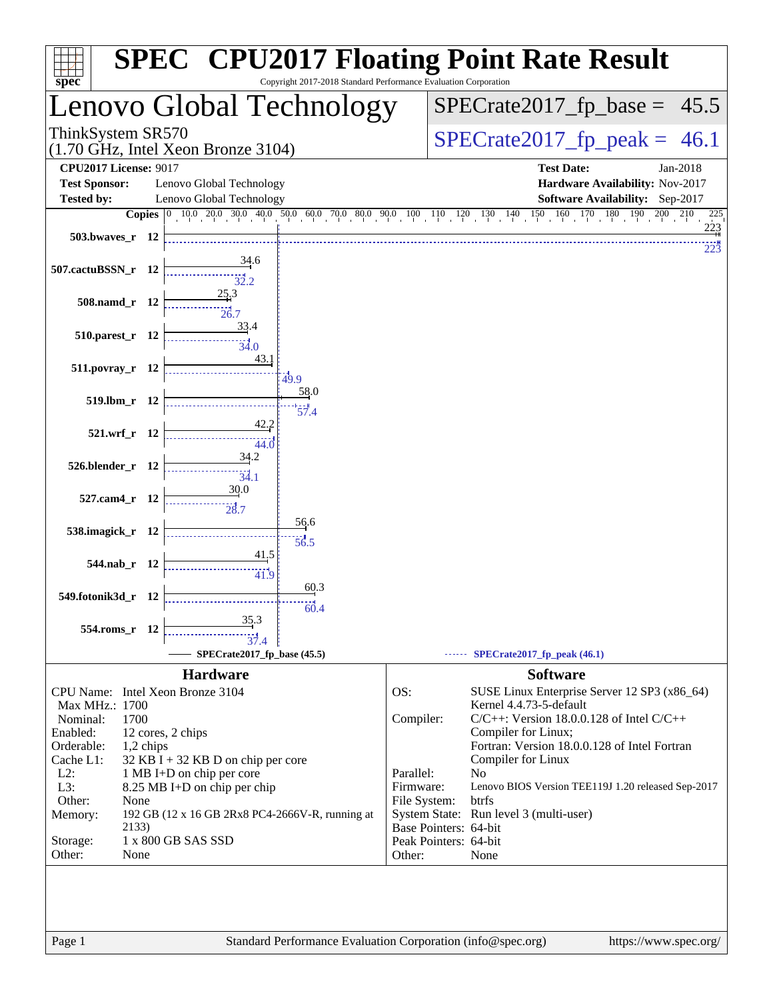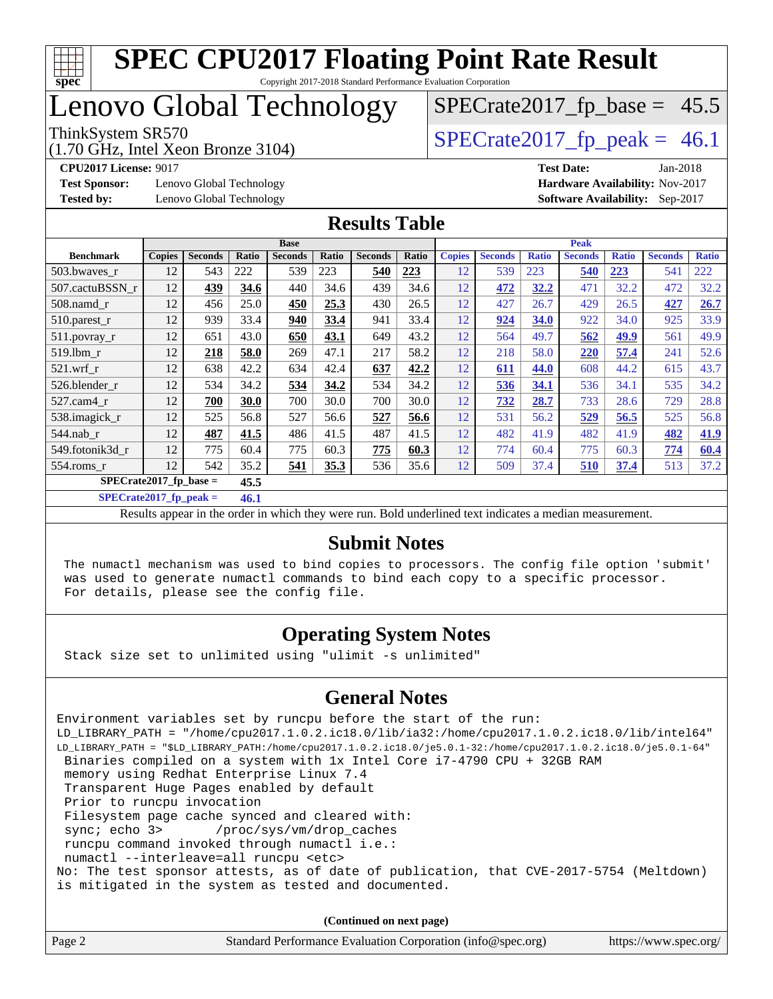

Copyright 2017-2018 Standard Performance Evaluation Corporation

# Lenovo Global Technology

(1.70 GHz, Intel Xeon Bronze 3104)

ThinkSystem SR570<br>(1.70 GHz, Intel Xeon Bronze 3104) [SPECrate2017\\_fp\\_peak =](http://www.spec.org/auto/cpu2017/Docs/result-fields.html#SPECrate2017fppeak) 46.1  $SPECrate2017_fp\_base = 45.5$ 

**[Test Sponsor:](http://www.spec.org/auto/cpu2017/Docs/result-fields.html#TestSponsor)** Lenovo Global Technology **[Hardware Availability:](http://www.spec.org/auto/cpu2017/Docs/result-fields.html#HardwareAvailability)** Nov-2017

**[CPU2017 License:](http://www.spec.org/auto/cpu2017/Docs/result-fields.html#CPU2017License)** 9017 **[Test Date:](http://www.spec.org/auto/cpu2017/Docs/result-fields.html#TestDate)** Jan-2018 **[Tested by:](http://www.spec.org/auto/cpu2017/Docs/result-fields.html#Testedby)** Lenovo Global Technology **[Software Availability:](http://www.spec.org/auto/cpu2017/Docs/result-fields.html#SoftwareAvailability)** Sep-2017

#### **[Results Table](http://www.spec.org/auto/cpu2017/Docs/result-fields.html#ResultsTable)**

|                          | <b>Base</b>   |                |       |                |       | <b>Peak</b>    |       |               |                |              |                |              |                |              |
|--------------------------|---------------|----------------|-------|----------------|-------|----------------|-------|---------------|----------------|--------------|----------------|--------------|----------------|--------------|
| <b>Benchmark</b>         | <b>Copies</b> | <b>Seconds</b> | Ratio | <b>Seconds</b> | Ratio | <b>Seconds</b> | Ratio | <b>Copies</b> | <b>Seconds</b> | <b>Ratio</b> | <b>Seconds</b> | <b>Ratio</b> | <b>Seconds</b> | <b>Ratio</b> |
| 503.bwaves_r             | 12            | 543            | 222   | 539            | 223   | 540            | 223   | 12            | 539            | 223          | 540            | 223          | 541            | 222          |
| 507.cactuBSSN_r          | 12            | 439            | 34.6  | 440            | 34.6  | 439            | 34.6  | 12            | 472            | 32.2         | 471            | 32.2         | 472            | 32.2         |
| $508$ .namd $r$          | 12            | 456            | 25.0  | 450            | 25.3  | 430            | 26.5  | 12            | 427            | 26.7         | 429            | 26.5         | 427            | 26.7         |
| $510.parest_r$           | 12            | 939            | 33.4  | 940            | 33.4  | 941            | 33.4  | 12            | 924            | 34.0         | 922            | 34.0         | 925            | 33.9         |
| 511.povray_r             | 12            | 651            | 43.0  | 650            | 43.1  | 649            | 43.2  | 12            | 564            | 49.7         | 562            | 49.9         | 561            | 49.9         |
| 519.lbm r                | 12            | 218            | 58.0  | 269            | 47.1  | 217            | 58.2  | 12            | 218            | 58.0         | <b>220</b>     | 57.4         | 241            | 52.6         |
| $521$ .wrf r             | 12            | 638            | 42.2  | 634            | 42.4  | 637            | 42.2  | 12            | 611            | 44.0         | 608            | 44.2         | 615            | 43.7         |
| 526.blender r            | 12            | 534            | 34.2  | 534            | 34.2  | 534            | 34.2  | 12            | 536            | 34.1         | 536            | 34.1         | 535            | 34.2         |
| 527.cam4 r               | 12            | 700            | 30.0  | 700            | 30.0  | 700            | 30.0  | 12            | <u>732</u>     | 28.7         | 733            | 28.6         | 729            | 28.8         |
| 538.imagick_r            | 12            | 525            | 56.8  | 527            | 56.6  | 527            | 56.6  | 12            | 531            | 56.2         | 529            | 56.5         | 525            | 56.8         |
| 544.nab r                | 12            | 487            | 41.5  | 486            | 41.5  | 487            | 41.5  | 12            | 482            | 41.9         | 482            | 41.9         | 482            | 41.9         |
| 549.fotonik3d_r          | 12            | 775            | 60.4  | 775            | 60.3  | 775            | 60.3  | 12            | 774            | 60.4         | 775            | 60.3         | 774            | 60.4         |
| $554$ .roms r            | 12            | 542            | 35.2  | 541            | 35.3  | 536            | 35.6  | 12            | 509            | 37.4         | 510            | 37.4         | 513            | 37.2         |
| $SPECrate2017$ fp base = |               |                | 45.5  |                |       |                |       |               |                |              |                |              |                |              |

**[SPECrate2017\\_fp\\_peak =](http://www.spec.org/auto/cpu2017/Docs/result-fields.html#SPECrate2017fppeak) 46.1**

Results appear in the [order in which they were run.](http://www.spec.org/auto/cpu2017/Docs/result-fields.html#RunOrder) Bold underlined text [indicates a median measurement.](http://www.spec.org/auto/cpu2017/Docs/result-fields.html#Median)

#### **[Submit Notes](http://www.spec.org/auto/cpu2017/Docs/result-fields.html#SubmitNotes)**

 The numactl mechanism was used to bind copies to processors. The config file option 'submit' was used to generate numactl commands to bind each copy to a specific processor. For details, please see the config file.

#### **[Operating System Notes](http://www.spec.org/auto/cpu2017/Docs/result-fields.html#OperatingSystemNotes)**

Stack size set to unlimited using "ulimit -s unlimited"

#### **[General Notes](http://www.spec.org/auto/cpu2017/Docs/result-fields.html#GeneralNotes)**

Environment variables set by runcpu before the start of the run: LD\_LIBRARY\_PATH = "/home/cpu2017.1.0.2.ic18.0/lib/ia32:/home/cpu2017.1.0.2.ic18.0/lib/intel64" LD\_LIBRARY\_PATH = "\$LD\_LIBRARY\_PATH:/home/cpu2017.1.0.2.ic18.0/je5.0.1-32:/home/cpu2017.1.0.2.ic18.0/je5.0.1-64" Binaries compiled on a system with 1x Intel Core i7-4790 CPU + 32GB RAM memory using Redhat Enterprise Linux 7.4 Transparent Huge Pages enabled by default Prior to runcpu invocation Filesystem page cache synced and cleared with: sync; echo 3> /proc/sys/vm/drop\_caches runcpu command invoked through numactl i.e.: numactl --interleave=all runcpu <etc> No: The test sponsor attests, as of date of publication, that CVE-2017-5754 (Meltdown) is mitigated in the system as tested and documented.

**(Continued on next page)**

| Page 2 | Standard Performance Evaluation Corporation (info@spec.org) | https://www.spec.org/ |
|--------|-------------------------------------------------------------|-----------------------|
|--------|-------------------------------------------------------------|-----------------------|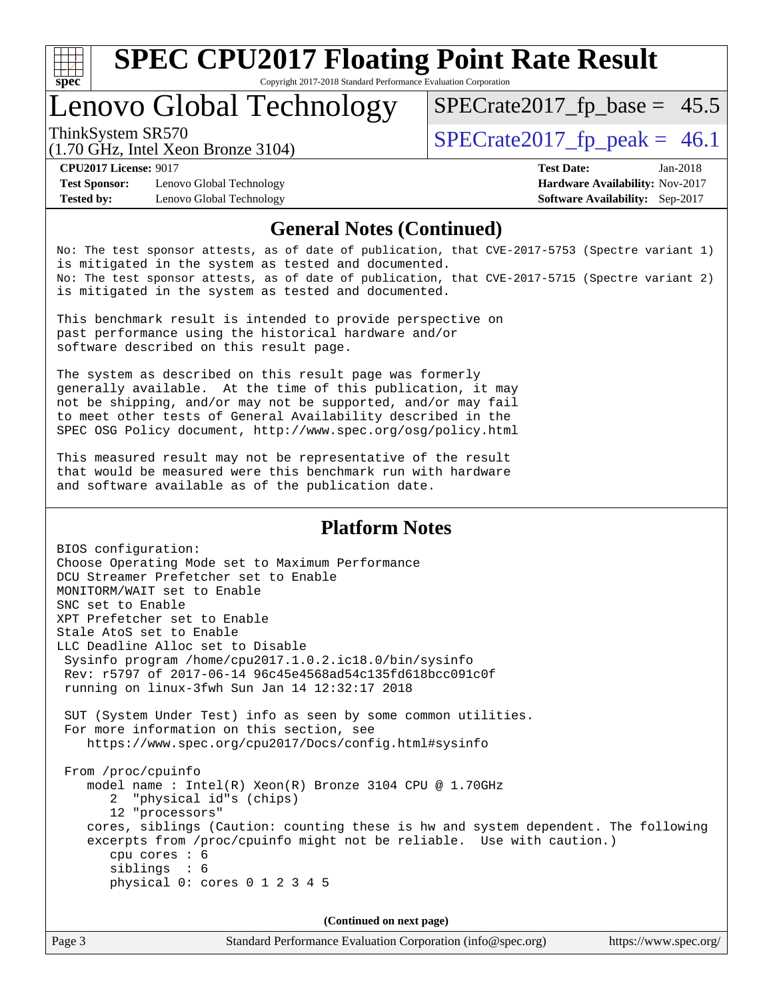

Copyright 2017-2018 Standard Performance Evaluation Corporation

# Lenovo Global Technology

ThinkSystem SR570<br>(1.70 GHz, Intel Year Bronze 3104) [SPECrate2017\\_fp\\_peak =](http://www.spec.org/auto/cpu2017/Docs/result-fields.html#SPECrate2017fppeak) 46.1

 $SPECTate2017_fp\_base = 45.5$ 

(1.70 GHz, Intel Xeon Bronze 3104)

**[Test Sponsor:](http://www.spec.org/auto/cpu2017/Docs/result-fields.html#TestSponsor)** Lenovo Global Technology **[Hardware Availability:](http://www.spec.org/auto/cpu2017/Docs/result-fields.html#HardwareAvailability)** Nov-2017 **[Tested by:](http://www.spec.org/auto/cpu2017/Docs/result-fields.html#Testedby)** Lenovo Global Technology **[Software Availability:](http://www.spec.org/auto/cpu2017/Docs/result-fields.html#SoftwareAvailability)** Sep-2017

**[CPU2017 License:](http://www.spec.org/auto/cpu2017/Docs/result-fields.html#CPU2017License)** 9017 **[Test Date:](http://www.spec.org/auto/cpu2017/Docs/result-fields.html#TestDate)** Jan-2018

#### **[General Notes \(Continued\)](http://www.spec.org/auto/cpu2017/Docs/result-fields.html#GeneralNotes)**

No: The test sponsor attests, as of date of publication, that CVE-2017-5753 (Spectre variant 1) is mitigated in the system as tested and documented. No: The test sponsor attests, as of date of publication, that CVE-2017-5715 (Spectre variant 2) is mitigated in the system as tested and documented.

This benchmark result is intended to provide perspective on past performance using the historical hardware and/or software described on this result page.

The system as described on this result page was formerly generally available. At the time of this publication, it may not be shipping, and/or may not be supported, and/or may fail to meet other tests of General Availability described in the SPEC OSG Policy document, <http://www.spec.org/osg/policy.html>

This measured result may not be representative of the result that would be measured were this benchmark run with hardware and software available as of the publication date.

#### **[Platform Notes](http://www.spec.org/auto/cpu2017/Docs/result-fields.html#PlatformNotes)**

BIOS configuration: Choose Operating Mode set to Maximum Performance DCU Streamer Prefetcher set to Enable MONITORM/WAIT set to Enable SNC set to Enable XPT Prefetcher set to Enable Stale AtoS set to Enable LLC Deadline Alloc set to Disable Sysinfo program /home/cpu2017.1.0.2.ic18.0/bin/sysinfo Rev: r5797 of 2017-06-14 96c45e4568ad54c135fd618bcc091c0f running on linux-3fwh Sun Jan 14 12:32:17 2018 SUT (System Under Test) info as seen by some common utilities. For more information on this section, see <https://www.spec.org/cpu2017/Docs/config.html#sysinfo> From /proc/cpuinfo model name : Intel(R) Xeon(R) Bronze 3104 CPU @ 1.70GHz 2 "physical id"s (chips) 12 "processors" cores, siblings (Caution: counting these is hw and system dependent. The following excerpts from /proc/cpuinfo might not be reliable. Use with caution.) cpu cores : 6 siblings : 6 physical 0: cores 0 1 2 3 4 5

**(Continued on next page)**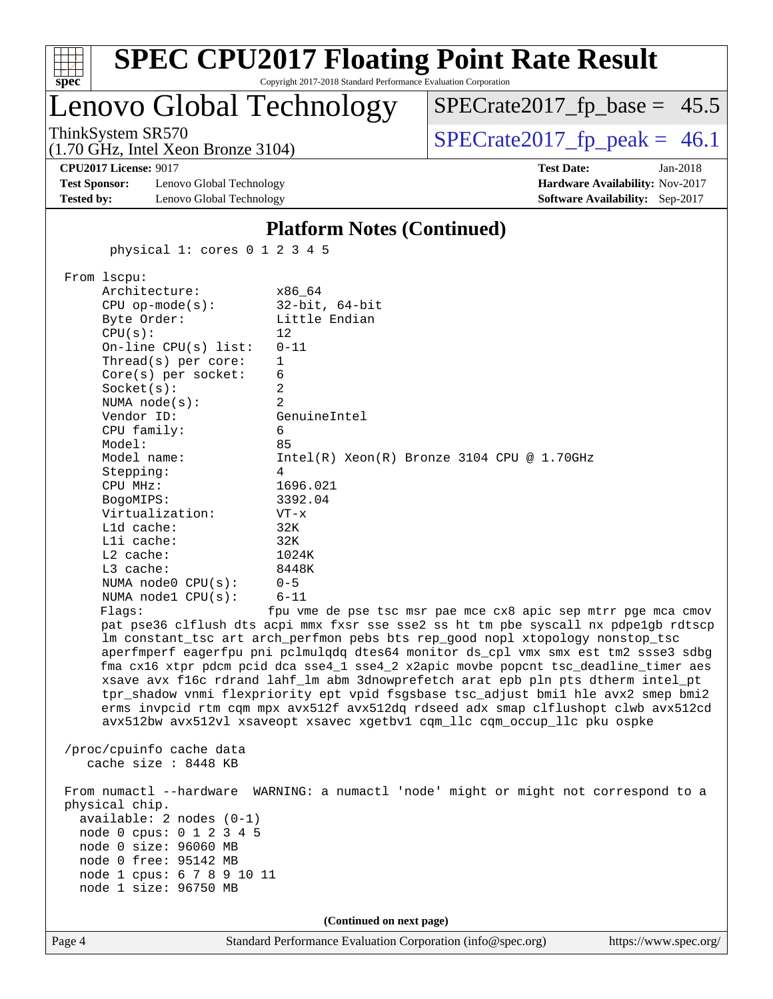|                                                                                                                                                                                                                                                                                                                                                                                                                                                   |                                                                                                                                                                                                          | <b>SPEC CPU2017 Floating Point Rate Result</b>                                                                                                                                                                                                                                                                                                                                                                                           |                                                                                                                                                                                                                                                                                                                                                                                                                                                                                                                                                                                                                                                                                           |
|---------------------------------------------------------------------------------------------------------------------------------------------------------------------------------------------------------------------------------------------------------------------------------------------------------------------------------------------------------------------------------------------------------------------------------------------------|----------------------------------------------------------------------------------------------------------------------------------------------------------------------------------------------------------|------------------------------------------------------------------------------------------------------------------------------------------------------------------------------------------------------------------------------------------------------------------------------------------------------------------------------------------------------------------------------------------------------------------------------------------|-------------------------------------------------------------------------------------------------------------------------------------------------------------------------------------------------------------------------------------------------------------------------------------------------------------------------------------------------------------------------------------------------------------------------------------------------------------------------------------------------------------------------------------------------------------------------------------------------------------------------------------------------------------------------------------------|
| spec                                                                                                                                                                                                                                                                                                                                                                                                                                              |                                                                                                                                                                                                          | Copyright 2017-2018 Standard Performance Evaluation Corporation<br>Lenovo Global Technology                                                                                                                                                                                                                                                                                                                                              | $SPECrate2017_fp\_base = 45.5$                                                                                                                                                                                                                                                                                                                                                                                                                                                                                                                                                                                                                                                            |
| ThinkSystem SR570<br>$(1.70 \text{ GHz}, \text{Intel Xeon Bronze } 3104)$                                                                                                                                                                                                                                                                                                                                                                         |                                                                                                                                                                                                          |                                                                                                                                                                                                                                                                                                                                                                                                                                          | $SPECrate2017fp peak = 46.1$                                                                                                                                                                                                                                                                                                                                                                                                                                                                                                                                                                                                                                                              |
| <b>CPU2017 License: 9017</b><br><b>Test Sponsor:</b><br><b>Tested by:</b>                                                                                                                                                                                                                                                                                                                                                                         | Lenovo Global Technology<br>Lenovo Global Technology                                                                                                                                                     |                                                                                                                                                                                                                                                                                                                                                                                                                                          | <b>Test Date:</b><br>Jan-2018<br>Hardware Availability: Nov-2017<br>Software Availability: Sep-2017                                                                                                                                                                                                                                                                                                                                                                                                                                                                                                                                                                                       |
|                                                                                                                                                                                                                                                                                                                                                                                                                                                   |                                                                                                                                                                                                          | <b>Platform Notes (Continued)</b>                                                                                                                                                                                                                                                                                                                                                                                                        |                                                                                                                                                                                                                                                                                                                                                                                                                                                                                                                                                                                                                                                                                           |
|                                                                                                                                                                                                                                                                                                                                                                                                                                                   | physical 1: cores 0 1 2 3 4 5                                                                                                                                                                            |                                                                                                                                                                                                                                                                                                                                                                                                                                          |                                                                                                                                                                                                                                                                                                                                                                                                                                                                                                                                                                                                                                                                                           |
| From lscpu:<br>Architecture:<br>$CPU$ op-mode( $s$ ):<br>Byte Order:<br>CPU(s):<br>Socket(s):<br>NUMA $node(s)$ :<br>Vendor ID:<br>CPU family:<br>Model:<br>Model name:<br>Stepping:<br>CPU MHz:<br>BogoMIPS:<br>Virtualization:<br>Lld cache:<br>Lli cache:<br>L2 cache:<br>L3 cache:<br>Flagg:<br>/proc/cpuinfo cache data<br>cache size : 8448 KB<br>physical chip.<br>node 0 size: 96060 MB<br>node 0 free: 95142 MB<br>node 1 size: 96750 MB | On-line $CPU(s)$ list:<br>Thread(s) per core:<br>Core(s) per socket:<br>NUMA node0 CPU(s):<br>NUMA nodel CPU(s):<br>$available: 2 nodes (0-1)$<br>node 0 cpus: 0 1 2 3 4 5<br>node 1 cpus: 6 7 8 9 10 11 | x86 64<br>$32$ -bit, $64$ -bit<br>Little Endian<br>12<br>$0 - 11$<br>1<br>6<br>2<br>$\overline{2}$<br>GenuineIntel<br>6<br>85<br>Intel(R) Xeon(R) Bronze 3104 CPU @ 1.70GHz<br>4<br>1696.021<br>3392.04<br>$VT - x$<br>32K<br>32K<br>1024K<br>8448K<br>$0 - 5$<br>$6 - 11$<br>lm constant_tsc art arch_perfmon pebs bts rep_good nopl xtopology nonstop_tsc<br>avx512bw avx512vl xsaveopt xsavec xgetbvl cqm_llc cqm_occup_llc pku ospke | fpu vme de pse tsc msr pae mce cx8 apic sep mtrr pge mca cmov<br>pat pse36 clflush dts acpi mmx fxsr sse sse2 ss ht tm pbe syscall nx pdpelgb rdtscp<br>aperfmperf eagerfpu pni pclmulqdq dtes64 monitor ds_cpl vmx smx est tm2 ssse3 sdbg<br>fma cx16 xtpr pdcm pcid dca sse4_1 sse4_2 x2apic movbe popcnt tsc_deadline_timer aes<br>xsave avx f16c rdrand lahf_lm abm 3dnowprefetch arat epb pln pts dtherm intel_pt<br>tpr_shadow vnmi flexpriority ept vpid fsgsbase tsc_adjust bmil hle avx2 smep bmi2<br>erms invpcid rtm cqm mpx avx512f avx512dq rdseed adx smap clflushopt clwb avx512cd<br>From numactl --hardware WARNING: a numactl 'node' might or might not correspond to a |
|                                                                                                                                                                                                                                                                                                                                                                                                                                                   |                                                                                                                                                                                                          | (Continued on next page)                                                                                                                                                                                                                                                                                                                                                                                                                 |                                                                                                                                                                                                                                                                                                                                                                                                                                                                                                                                                                                                                                                                                           |
| Page 4                                                                                                                                                                                                                                                                                                                                                                                                                                            |                                                                                                                                                                                                          | Standard Performance Evaluation Corporation (info@spec.org)                                                                                                                                                                                                                                                                                                                                                                              | https://www.spec.org/                                                                                                                                                                                                                                                                                                                                                                                                                                                                                                                                                                                                                                                                     |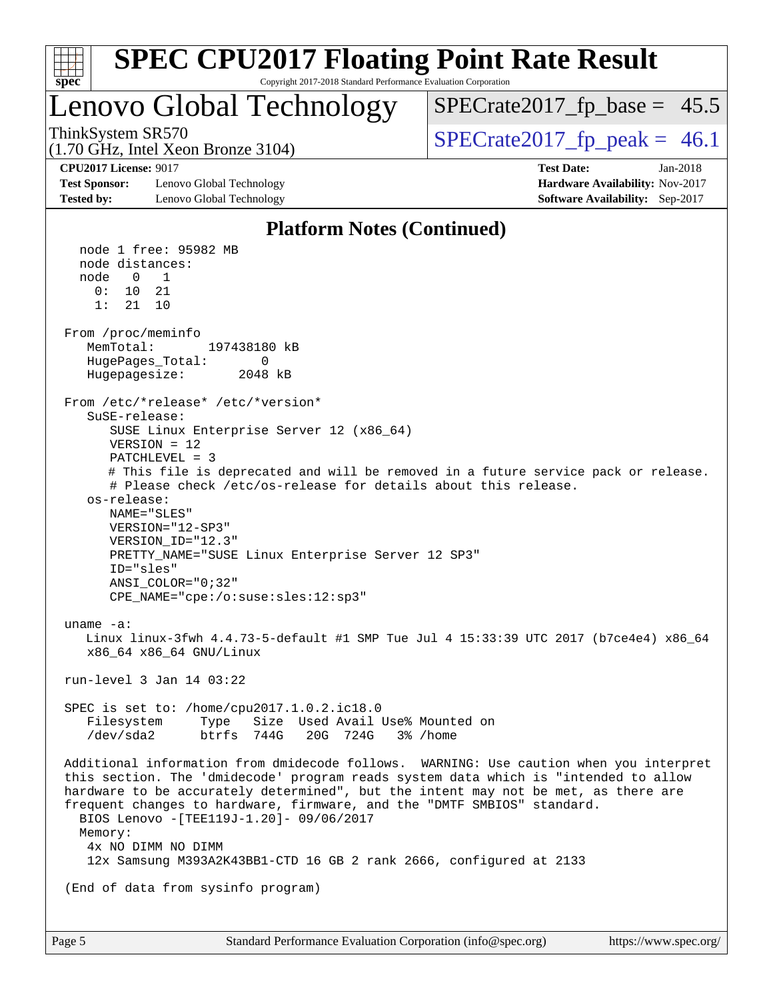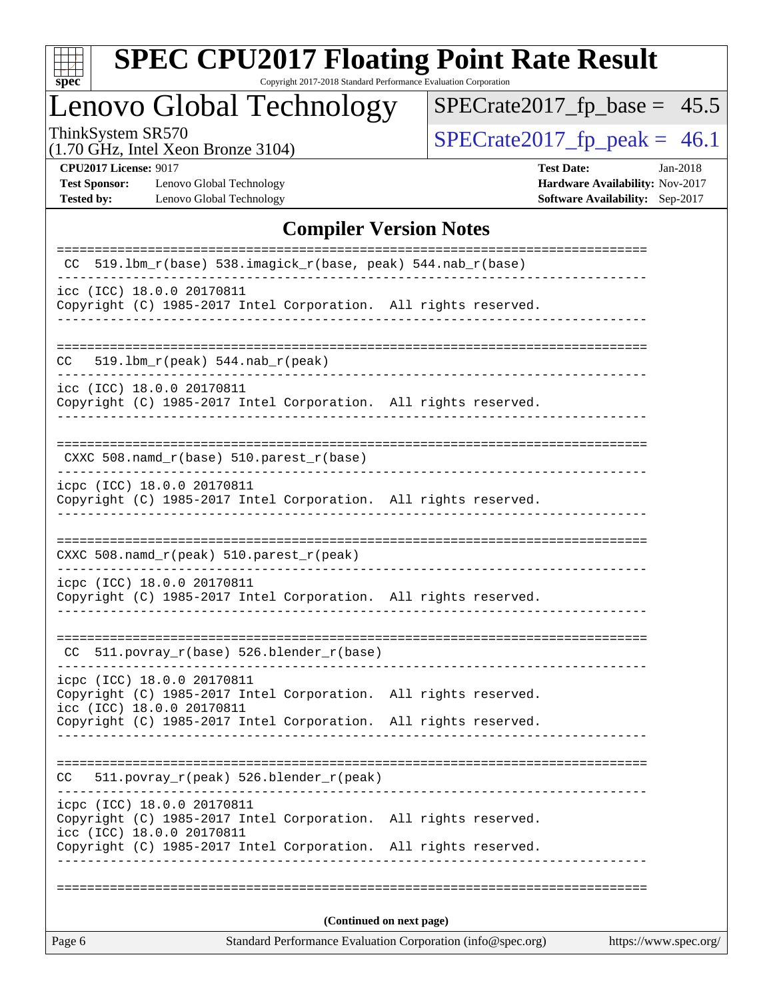

Copyright 2017-2018 Standard Performance Evaluation Corporation

# Lenovo Global Technology

 $SPECrate2017_fp\_base = 45.5$ 

(1.70 GHz, Intel Xeon Bronze 3104)

ThinkSystem SR570<br>(1.70 GHz, Intel Xeon Bronze 3104) [SPECrate2017\\_fp\\_peak =](http://www.spec.org/auto/cpu2017/Docs/result-fields.html#SPECrate2017fppeak) 46.1

**[Test Sponsor:](http://www.spec.org/auto/cpu2017/Docs/result-fields.html#TestSponsor)** Lenovo Global Technology **[Hardware Availability:](http://www.spec.org/auto/cpu2017/Docs/result-fields.html#HardwareAvailability)** Nov-2017 **[Tested by:](http://www.spec.org/auto/cpu2017/Docs/result-fields.html#Testedby)** Lenovo Global Technology **[Software Availability:](http://www.spec.org/auto/cpu2017/Docs/result-fields.html#SoftwareAvailability)** Sep-2017

**[CPU2017 License:](http://www.spec.org/auto/cpu2017/Docs/result-fields.html#CPU2017License)** 9017 **[Test Date:](http://www.spec.org/auto/cpu2017/Docs/result-fields.html#TestDate)** Jan-2018

#### **[Compiler Version Notes](http://www.spec.org/auto/cpu2017/Docs/result-fields.html#CompilerVersionNotes)**

| Standard Performance Evaluation Corporation (info@spec.org)<br>Page 6<br>https://www.spec.org/                                                                  |  |  |  |  |  |  |
|-----------------------------------------------------------------------------------------------------------------------------------------------------------------|--|--|--|--|--|--|
| (Continued on next page)                                                                                                                                        |  |  |  |  |  |  |
|                                                                                                                                                                 |  |  |  |  |  |  |
| Copyright (C) 1985-2017 Intel Corporation. All rights reserved.<br>icc (ICC) 18.0.0 20170811<br>Copyright (C) 1985-2017 Intel Corporation. All rights reserved. |  |  |  |  |  |  |
| icpc (ICC) 18.0.0 20170811                                                                                                                                      |  |  |  |  |  |  |
| 511.povray_r(peak) 526.blender_r(peak)<br>CC.                                                                                                                   |  |  |  |  |  |  |
| Copyright (C) 1985-2017 Intel Corporation. All rights reserved.                                                                                                 |  |  |  |  |  |  |
| icpc (ICC) 18.0.0 20170811<br>Copyright (C) 1985-2017 Intel Corporation. All rights reserved.<br>icc (ICC) 18.0.0 20170811                                      |  |  |  |  |  |  |
| CC 511.povray_r(base) 526.blender_r(base)                                                                                                                       |  |  |  |  |  |  |
| icpc (ICC) 18.0.0 20170811<br>Copyright (C) 1985-2017 Intel Corporation. All rights reserved.                                                                   |  |  |  |  |  |  |
| CXXC 508.namd_r(peak) 510.parest_r(peak)                                                                                                                        |  |  |  |  |  |  |
| Copyright (C) 1985-2017 Intel Corporation. All rights reserved.                                                                                                 |  |  |  |  |  |  |
| icpc (ICC) 18.0.0 20170811                                                                                                                                      |  |  |  |  |  |  |
| CXXC 508.namd_r(base) 510.parest_r(base)                                                                                                                        |  |  |  |  |  |  |
| icc (ICC) 18.0.0 20170811<br>Copyright (C) 1985-2017 Intel Corporation. All rights reserved.                                                                    |  |  |  |  |  |  |
| 519.1bm_r(peak) 544.nab_r(peak)<br>CC.                                                                                                                          |  |  |  |  |  |  |
| icc (ICC) 18.0.0 20170811<br>Copyright (C) 1985-2017 Intel Corporation. All rights reserved.                                                                    |  |  |  |  |  |  |
| ============================<br>519.1bm_r(base) 538.imagick_r(base, peak) 544.nab_r(base)<br>CC.                                                                |  |  |  |  |  |  |
|                                                                                                                                                                 |  |  |  |  |  |  |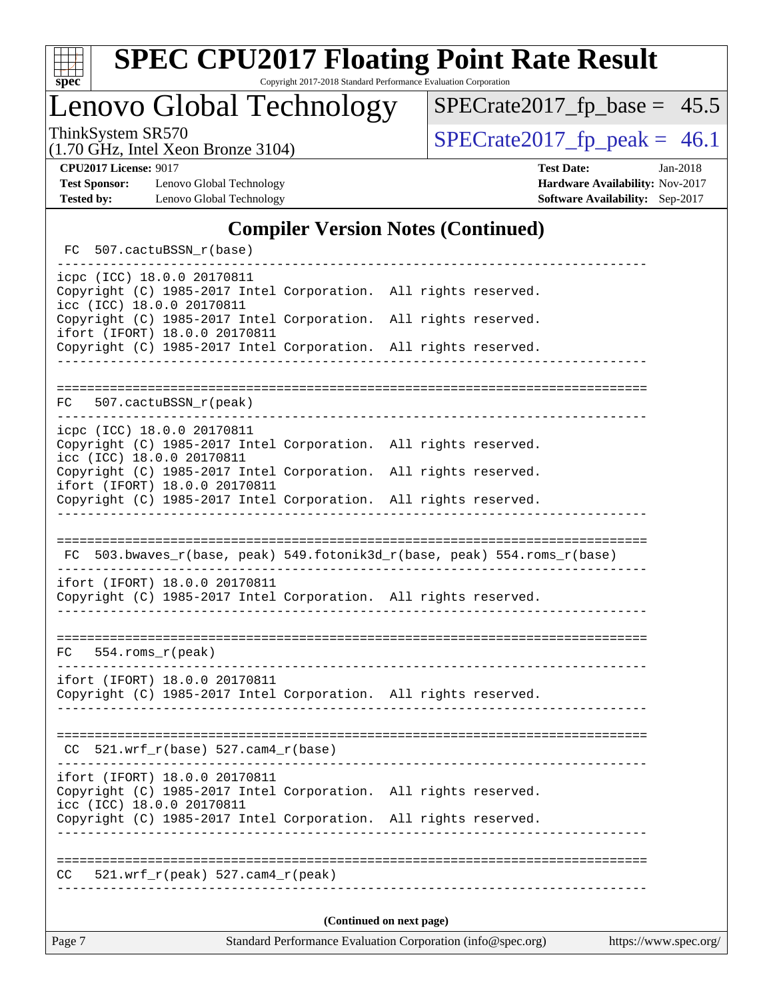

Lenovo Global Technology

 $SPECrate2017_fp\_base = 45.5$ 

(1.70 GHz, Intel Xeon Bronze 3104)

ThinkSystem SR570<br>(1.70 GHz, Intel Year Branze 3104) [SPECrate2017\\_fp\\_peak =](http://www.spec.org/auto/cpu2017/Docs/result-fields.html#SPECrate2017fppeak) 46.1

**[Test Sponsor:](http://www.spec.org/auto/cpu2017/Docs/result-fields.html#TestSponsor)** Lenovo Global Technology **[Hardware Availability:](http://www.spec.org/auto/cpu2017/Docs/result-fields.html#HardwareAvailability)** Nov-2017 **[Tested by:](http://www.spec.org/auto/cpu2017/Docs/result-fields.html#Testedby)** Lenovo Global Technology **[Software Availability:](http://www.spec.org/auto/cpu2017/Docs/result-fields.html#SoftwareAvailability)** Sep-2017

**[CPU2017 License:](http://www.spec.org/auto/cpu2017/Docs/result-fields.html#CPU2017License)** 9017 **[Test Date:](http://www.spec.org/auto/cpu2017/Docs/result-fields.html#TestDate)** Jan-2018

#### **[Compiler Version Notes \(Continued\)](http://www.spec.org/auto/cpu2017/Docs/result-fields.html#CompilerVersionNotes)**

FC 507.cactuBSSN r(base) ----------------------------------------------------------------------------- icpc (ICC) 18.0.0 20170811 Copyright (C) 1985-2017 Intel Corporation. All rights reserved. icc (ICC) 18.0.0 20170811 Copyright (C) 1985-2017 Intel Corporation. All rights reserved. ifort (IFORT) 18.0.0 20170811 Copyright (C) 1985-2017 Intel Corporation. All rights reserved. ------------------------------------------------------------------------------ ============================================================================== FC 507.cactuBSSN\_r(peak) ----------------------------------------------------------------------------- icpc (ICC) 18.0.0 20170811 Copyright (C) 1985-2017 Intel Corporation. All rights reserved. icc (ICC) 18.0.0 20170811 Copyright (C) 1985-2017 Intel Corporation. All rights reserved. ifort (IFORT) 18.0.0 20170811 Copyright (C) 1985-2017 Intel Corporation. All rights reserved. ------------------------------------------------------------------------------ ============================================================================== FC 503.bwaves\_r(base, peak) 549.fotonik3d\_r(base, peak) 554.roms\_r(base) ----------------------------------------------------------------------------- ifort (IFORT) 18.0.0 20170811 Copyright (C) 1985-2017 Intel Corporation. All rights reserved. ------------------------------------------------------------------------------ ============================================================================== FC 554.roms\_r(peak) ----------------------------------------------------------------------------- ifort (IFORT) 18.0.0 20170811 Copyright (C) 1985-2017 Intel Corporation. All rights reserved. ------------------------------------------------------------------------------ ==============================================================================  $CC$  521.wrf $_r(base)$  527.cam $4_r(base)$ ----------------------------------------------------------------------------- ifort (IFORT) 18.0.0 20170811 Copyright (C) 1985-2017 Intel Corporation. All rights reserved. icc (ICC) 18.0.0 20170811 Copyright (C) 1985-2017 Intel Corporation. All rights reserved. ------------------------------------------------------------------------------ ============================================================================== CC 521.wrf\_r(peak) 527.cam4\_r(peak) ------------------------------------------------------------------------------ **(Continued on next page)**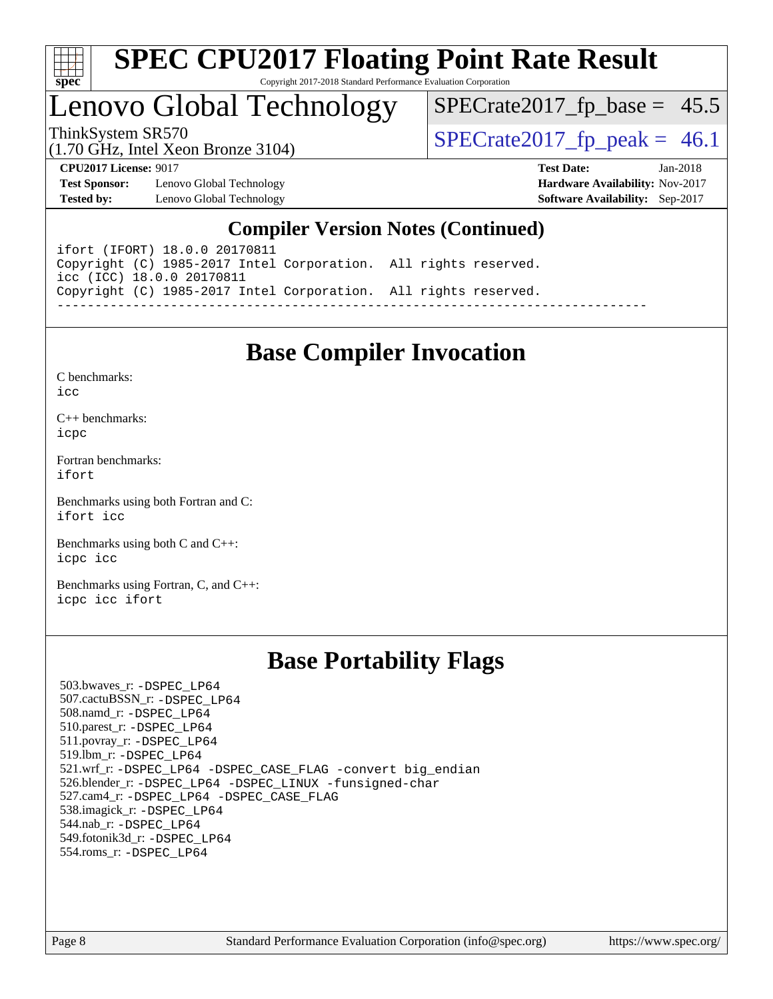

# Lenovo Global Technology

ThinkSystem SR570<br>(1.70 GHz, Intel Year Bronze 3104) [SPECrate2017\\_fp\\_peak =](http://www.spec.org/auto/cpu2017/Docs/result-fields.html#SPECrate2017fppeak) 46.1  $SPECTate2017_fp\_base = 45.5$ 

(1.70 GHz, Intel Xeon Bronze 3104)

**[Test Sponsor:](http://www.spec.org/auto/cpu2017/Docs/result-fields.html#TestSponsor)** Lenovo Global Technology **[Hardware Availability:](http://www.spec.org/auto/cpu2017/Docs/result-fields.html#HardwareAvailability)** Nov-2017 **[Tested by:](http://www.spec.org/auto/cpu2017/Docs/result-fields.html#Testedby)** Lenovo Global Technology **[Software Availability:](http://www.spec.org/auto/cpu2017/Docs/result-fields.html#SoftwareAvailability)** Sep-2017

**[CPU2017 License:](http://www.spec.org/auto/cpu2017/Docs/result-fields.html#CPU2017License)** 9017 **[Test Date:](http://www.spec.org/auto/cpu2017/Docs/result-fields.html#TestDate)** Jan-2018

#### **[Compiler Version Notes \(Continued\)](http://www.spec.org/auto/cpu2017/Docs/result-fields.html#CompilerVersionNotes)**

ifort (IFORT) 18.0.0 20170811 Copyright (C) 1985-2017 Intel Corporation. All rights reserved. icc (ICC) 18.0.0 20170811 Copyright (C) 1985-2017 Intel Corporation. All rights reserved. ------------------------------------------------------------------------------

## **[Base Compiler Invocation](http://www.spec.org/auto/cpu2017/Docs/result-fields.html#BaseCompilerInvocation)**

[C benchmarks](http://www.spec.org/auto/cpu2017/Docs/result-fields.html#Cbenchmarks):  $i$ cc

[C++ benchmarks:](http://www.spec.org/auto/cpu2017/Docs/result-fields.html#CXXbenchmarks) [icpc](http://www.spec.org/cpu2017/results/res2018q1/cpu2017-20180122-02979.flags.html#user_CXXbase_intel_icpc_18.0_c510b6838c7f56d33e37e94d029a35b4a7bccf4766a728ee175e80a419847e808290a9b78be685c44ab727ea267ec2f070ec5dc83b407c0218cded6866a35d07)

[Fortran benchmarks](http://www.spec.org/auto/cpu2017/Docs/result-fields.html#Fortranbenchmarks): [ifort](http://www.spec.org/cpu2017/results/res2018q1/cpu2017-20180122-02979.flags.html#user_FCbase_intel_ifort_18.0_8111460550e3ca792625aed983ce982f94888b8b503583aa7ba2b8303487b4d8a21a13e7191a45c5fd58ff318f48f9492884d4413fa793fd88dd292cad7027ca)

[Benchmarks using both Fortran and C](http://www.spec.org/auto/cpu2017/Docs/result-fields.html#BenchmarksusingbothFortranandC): [ifort](http://www.spec.org/cpu2017/results/res2018q1/cpu2017-20180122-02979.flags.html#user_CC_FCbase_intel_ifort_18.0_8111460550e3ca792625aed983ce982f94888b8b503583aa7ba2b8303487b4d8a21a13e7191a45c5fd58ff318f48f9492884d4413fa793fd88dd292cad7027ca) [icc](http://www.spec.org/cpu2017/results/res2018q1/cpu2017-20180122-02979.flags.html#user_CC_FCbase_intel_icc_18.0_66fc1ee009f7361af1fbd72ca7dcefbb700085f36577c54f309893dd4ec40d12360134090235512931783d35fd58c0460139e722d5067c5574d8eaf2b3e37e92)

[Benchmarks using both C and C++](http://www.spec.org/auto/cpu2017/Docs/result-fields.html#BenchmarksusingbothCandCXX): [icpc](http://www.spec.org/cpu2017/results/res2018q1/cpu2017-20180122-02979.flags.html#user_CC_CXXbase_intel_icpc_18.0_c510b6838c7f56d33e37e94d029a35b4a7bccf4766a728ee175e80a419847e808290a9b78be685c44ab727ea267ec2f070ec5dc83b407c0218cded6866a35d07) [icc](http://www.spec.org/cpu2017/results/res2018q1/cpu2017-20180122-02979.flags.html#user_CC_CXXbase_intel_icc_18.0_66fc1ee009f7361af1fbd72ca7dcefbb700085f36577c54f309893dd4ec40d12360134090235512931783d35fd58c0460139e722d5067c5574d8eaf2b3e37e92)

[Benchmarks using Fortran, C, and C++:](http://www.spec.org/auto/cpu2017/Docs/result-fields.html#BenchmarksusingFortranCandCXX) [icpc](http://www.spec.org/cpu2017/results/res2018q1/cpu2017-20180122-02979.flags.html#user_CC_CXX_FCbase_intel_icpc_18.0_c510b6838c7f56d33e37e94d029a35b4a7bccf4766a728ee175e80a419847e808290a9b78be685c44ab727ea267ec2f070ec5dc83b407c0218cded6866a35d07) [icc](http://www.spec.org/cpu2017/results/res2018q1/cpu2017-20180122-02979.flags.html#user_CC_CXX_FCbase_intel_icc_18.0_66fc1ee009f7361af1fbd72ca7dcefbb700085f36577c54f309893dd4ec40d12360134090235512931783d35fd58c0460139e722d5067c5574d8eaf2b3e37e92) [ifort](http://www.spec.org/cpu2017/results/res2018q1/cpu2017-20180122-02979.flags.html#user_CC_CXX_FCbase_intel_ifort_18.0_8111460550e3ca792625aed983ce982f94888b8b503583aa7ba2b8303487b4d8a21a13e7191a45c5fd58ff318f48f9492884d4413fa793fd88dd292cad7027ca)

### **[Base Portability Flags](http://www.spec.org/auto/cpu2017/Docs/result-fields.html#BasePortabilityFlags)**

 503.bwaves\_r: [-DSPEC\\_LP64](http://www.spec.org/cpu2017/results/res2018q1/cpu2017-20180122-02979.flags.html#suite_basePORTABILITY503_bwaves_r_DSPEC_LP64) 507.cactuBSSN\_r: [-DSPEC\\_LP64](http://www.spec.org/cpu2017/results/res2018q1/cpu2017-20180122-02979.flags.html#suite_basePORTABILITY507_cactuBSSN_r_DSPEC_LP64) 508.namd\_r: [-DSPEC\\_LP64](http://www.spec.org/cpu2017/results/res2018q1/cpu2017-20180122-02979.flags.html#suite_basePORTABILITY508_namd_r_DSPEC_LP64) 510.parest\_r: [-DSPEC\\_LP64](http://www.spec.org/cpu2017/results/res2018q1/cpu2017-20180122-02979.flags.html#suite_basePORTABILITY510_parest_r_DSPEC_LP64) 511.povray\_r: [-DSPEC\\_LP64](http://www.spec.org/cpu2017/results/res2018q1/cpu2017-20180122-02979.flags.html#suite_basePORTABILITY511_povray_r_DSPEC_LP64) 519.lbm\_r: [-DSPEC\\_LP64](http://www.spec.org/cpu2017/results/res2018q1/cpu2017-20180122-02979.flags.html#suite_basePORTABILITY519_lbm_r_DSPEC_LP64) 521.wrf\_r: [-DSPEC\\_LP64](http://www.spec.org/cpu2017/results/res2018q1/cpu2017-20180122-02979.flags.html#suite_basePORTABILITY521_wrf_r_DSPEC_LP64) [-DSPEC\\_CASE\\_FLAG](http://www.spec.org/cpu2017/results/res2018q1/cpu2017-20180122-02979.flags.html#b521.wrf_r_baseCPORTABILITY_DSPEC_CASE_FLAG) [-convert big\\_endian](http://www.spec.org/cpu2017/results/res2018q1/cpu2017-20180122-02979.flags.html#user_baseFPORTABILITY521_wrf_r_convert_big_endian_c3194028bc08c63ac5d04de18c48ce6d347e4e562e8892b8bdbdc0214820426deb8554edfa529a3fb25a586e65a3d812c835984020483e7e73212c4d31a38223) 526.blender\_r: [-DSPEC\\_LP64](http://www.spec.org/cpu2017/results/res2018q1/cpu2017-20180122-02979.flags.html#suite_basePORTABILITY526_blender_r_DSPEC_LP64) [-DSPEC\\_LINUX](http://www.spec.org/cpu2017/results/res2018q1/cpu2017-20180122-02979.flags.html#b526.blender_r_baseCPORTABILITY_DSPEC_LINUX) [-funsigned-char](http://www.spec.org/cpu2017/results/res2018q1/cpu2017-20180122-02979.flags.html#user_baseCPORTABILITY526_blender_r_force_uchar_40c60f00ab013830e2dd6774aeded3ff59883ba5a1fc5fc14077f794d777847726e2a5858cbc7672e36e1b067e7e5c1d9a74f7176df07886a243d7cc18edfe67) 527.cam4\_r: [-DSPEC\\_LP64](http://www.spec.org/cpu2017/results/res2018q1/cpu2017-20180122-02979.flags.html#suite_basePORTABILITY527_cam4_r_DSPEC_LP64) [-DSPEC\\_CASE\\_FLAG](http://www.spec.org/cpu2017/results/res2018q1/cpu2017-20180122-02979.flags.html#b527.cam4_r_baseCPORTABILITY_DSPEC_CASE_FLAG) 538.imagick\_r: [-DSPEC\\_LP64](http://www.spec.org/cpu2017/results/res2018q1/cpu2017-20180122-02979.flags.html#suite_basePORTABILITY538_imagick_r_DSPEC_LP64) 544.nab\_r: [-DSPEC\\_LP64](http://www.spec.org/cpu2017/results/res2018q1/cpu2017-20180122-02979.flags.html#suite_basePORTABILITY544_nab_r_DSPEC_LP64) 549.fotonik3d\_r: [-DSPEC\\_LP64](http://www.spec.org/cpu2017/results/res2018q1/cpu2017-20180122-02979.flags.html#suite_basePORTABILITY549_fotonik3d_r_DSPEC_LP64) 554.roms\_r: [-DSPEC\\_LP64](http://www.spec.org/cpu2017/results/res2018q1/cpu2017-20180122-02979.flags.html#suite_basePORTABILITY554_roms_r_DSPEC_LP64)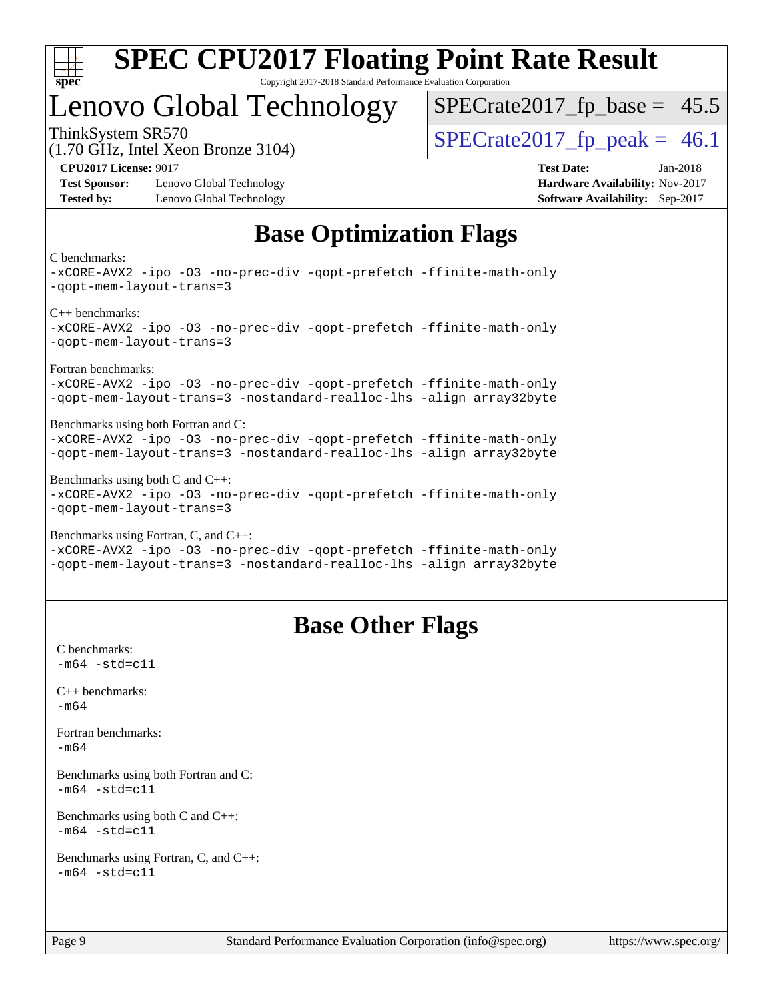

# Lenovo Global Technology

ThinkSystem SR570<br>(1.70 GHz, Intel Year Bronze 3104) [SPECrate2017\\_fp\\_peak =](http://www.spec.org/auto/cpu2017/Docs/result-fields.html#SPECrate2017fppeak) 46.1  $SPECTate2017_fp\_base = 45.5$ 

(1.70 GHz, Intel Xeon Bronze 3104)

**[Test Sponsor:](http://www.spec.org/auto/cpu2017/Docs/result-fields.html#TestSponsor)** Lenovo Global Technology **[Hardware Availability:](http://www.spec.org/auto/cpu2017/Docs/result-fields.html#HardwareAvailability)** Nov-2017 **[Tested by:](http://www.spec.org/auto/cpu2017/Docs/result-fields.html#Testedby)** Lenovo Global Technology **[Software Availability:](http://www.spec.org/auto/cpu2017/Docs/result-fields.html#SoftwareAvailability)** Sep-2017

**[CPU2017 License:](http://www.spec.org/auto/cpu2017/Docs/result-fields.html#CPU2017License)** 9017 **[Test Date:](http://www.spec.org/auto/cpu2017/Docs/result-fields.html#TestDate)** Jan-2018

## **[Base Optimization Flags](http://www.spec.org/auto/cpu2017/Docs/result-fields.html#BaseOptimizationFlags)**

[C benchmarks:](http://www.spec.org/auto/cpu2017/Docs/result-fields.html#Cbenchmarks)

[-xCORE-AVX2](http://www.spec.org/cpu2017/results/res2018q1/cpu2017-20180122-02979.flags.html#user_CCbase_f-xCORE-AVX2) [-ipo](http://www.spec.org/cpu2017/results/res2018q1/cpu2017-20180122-02979.flags.html#user_CCbase_f-ipo) [-O3](http://www.spec.org/cpu2017/results/res2018q1/cpu2017-20180122-02979.flags.html#user_CCbase_f-O3) [-no-prec-div](http://www.spec.org/cpu2017/results/res2018q1/cpu2017-20180122-02979.flags.html#user_CCbase_f-no-prec-div) [-qopt-prefetch](http://www.spec.org/cpu2017/results/res2018q1/cpu2017-20180122-02979.flags.html#user_CCbase_f-qopt-prefetch) [-ffinite-math-only](http://www.spec.org/cpu2017/results/res2018q1/cpu2017-20180122-02979.flags.html#user_CCbase_f_finite_math_only_cb91587bd2077682c4b38af759c288ed7c732db004271a9512da14a4f8007909a5f1427ecbf1a0fb78ff2a814402c6114ac565ca162485bbcae155b5e4258871) [-qopt-mem-layout-trans=3](http://www.spec.org/cpu2017/results/res2018q1/cpu2017-20180122-02979.flags.html#user_CCbase_f-qopt-mem-layout-trans_de80db37974c74b1f0e20d883f0b675c88c3b01e9d123adea9b28688d64333345fb62bc4a798493513fdb68f60282f9a726aa07f478b2f7113531aecce732043) [C++ benchmarks](http://www.spec.org/auto/cpu2017/Docs/result-fields.html#CXXbenchmarks): [-xCORE-AVX2](http://www.spec.org/cpu2017/results/res2018q1/cpu2017-20180122-02979.flags.html#user_CXXbase_f-xCORE-AVX2) [-ipo](http://www.spec.org/cpu2017/results/res2018q1/cpu2017-20180122-02979.flags.html#user_CXXbase_f-ipo) [-O3](http://www.spec.org/cpu2017/results/res2018q1/cpu2017-20180122-02979.flags.html#user_CXXbase_f-O3) [-no-prec-div](http://www.spec.org/cpu2017/results/res2018q1/cpu2017-20180122-02979.flags.html#user_CXXbase_f-no-prec-div) [-qopt-prefetch](http://www.spec.org/cpu2017/results/res2018q1/cpu2017-20180122-02979.flags.html#user_CXXbase_f-qopt-prefetch) [-ffinite-math-only](http://www.spec.org/cpu2017/results/res2018q1/cpu2017-20180122-02979.flags.html#user_CXXbase_f_finite_math_only_cb91587bd2077682c4b38af759c288ed7c732db004271a9512da14a4f8007909a5f1427ecbf1a0fb78ff2a814402c6114ac565ca162485bbcae155b5e4258871) [-qopt-mem-layout-trans=3](http://www.spec.org/cpu2017/results/res2018q1/cpu2017-20180122-02979.flags.html#user_CXXbase_f-qopt-mem-layout-trans_de80db37974c74b1f0e20d883f0b675c88c3b01e9d123adea9b28688d64333345fb62bc4a798493513fdb68f60282f9a726aa07f478b2f7113531aecce732043) [Fortran benchmarks:](http://www.spec.org/auto/cpu2017/Docs/result-fields.html#Fortranbenchmarks) [-xCORE-AVX2](http://www.spec.org/cpu2017/results/res2018q1/cpu2017-20180122-02979.flags.html#user_FCbase_f-xCORE-AVX2) [-ipo](http://www.spec.org/cpu2017/results/res2018q1/cpu2017-20180122-02979.flags.html#user_FCbase_f-ipo) [-O3](http://www.spec.org/cpu2017/results/res2018q1/cpu2017-20180122-02979.flags.html#user_FCbase_f-O3) [-no-prec-div](http://www.spec.org/cpu2017/results/res2018q1/cpu2017-20180122-02979.flags.html#user_FCbase_f-no-prec-div) [-qopt-prefetch](http://www.spec.org/cpu2017/results/res2018q1/cpu2017-20180122-02979.flags.html#user_FCbase_f-qopt-prefetch) [-ffinite-math-only](http://www.spec.org/cpu2017/results/res2018q1/cpu2017-20180122-02979.flags.html#user_FCbase_f_finite_math_only_cb91587bd2077682c4b38af759c288ed7c732db004271a9512da14a4f8007909a5f1427ecbf1a0fb78ff2a814402c6114ac565ca162485bbcae155b5e4258871) [-qopt-mem-layout-trans=3](http://www.spec.org/cpu2017/results/res2018q1/cpu2017-20180122-02979.flags.html#user_FCbase_f-qopt-mem-layout-trans_de80db37974c74b1f0e20d883f0b675c88c3b01e9d123adea9b28688d64333345fb62bc4a798493513fdb68f60282f9a726aa07f478b2f7113531aecce732043) [-nostandard-realloc-lhs](http://www.spec.org/cpu2017/results/res2018q1/cpu2017-20180122-02979.flags.html#user_FCbase_f_2003_std_realloc_82b4557e90729c0f113870c07e44d33d6f5a304b4f63d4c15d2d0f1fab99f5daaed73bdb9275d9ae411527f28b936061aa8b9c8f2d63842963b95c9dd6426b8a) [-align array32byte](http://www.spec.org/cpu2017/results/res2018q1/cpu2017-20180122-02979.flags.html#user_FCbase_align_array32byte_b982fe038af199962ba9a80c053b8342c548c85b40b8e86eb3cc33dee0d7986a4af373ac2d51c3f7cf710a18d62fdce2948f201cd044323541f22fc0fffc51b6) [Benchmarks using both Fortran and C:](http://www.spec.org/auto/cpu2017/Docs/result-fields.html#BenchmarksusingbothFortranandC) [-xCORE-AVX2](http://www.spec.org/cpu2017/results/res2018q1/cpu2017-20180122-02979.flags.html#user_CC_FCbase_f-xCORE-AVX2) [-ipo](http://www.spec.org/cpu2017/results/res2018q1/cpu2017-20180122-02979.flags.html#user_CC_FCbase_f-ipo) [-O3](http://www.spec.org/cpu2017/results/res2018q1/cpu2017-20180122-02979.flags.html#user_CC_FCbase_f-O3) [-no-prec-div](http://www.spec.org/cpu2017/results/res2018q1/cpu2017-20180122-02979.flags.html#user_CC_FCbase_f-no-prec-div) [-qopt-prefetch](http://www.spec.org/cpu2017/results/res2018q1/cpu2017-20180122-02979.flags.html#user_CC_FCbase_f-qopt-prefetch) [-ffinite-math-only](http://www.spec.org/cpu2017/results/res2018q1/cpu2017-20180122-02979.flags.html#user_CC_FCbase_f_finite_math_only_cb91587bd2077682c4b38af759c288ed7c732db004271a9512da14a4f8007909a5f1427ecbf1a0fb78ff2a814402c6114ac565ca162485bbcae155b5e4258871) [-qopt-mem-layout-trans=3](http://www.spec.org/cpu2017/results/res2018q1/cpu2017-20180122-02979.flags.html#user_CC_FCbase_f-qopt-mem-layout-trans_de80db37974c74b1f0e20d883f0b675c88c3b01e9d123adea9b28688d64333345fb62bc4a798493513fdb68f60282f9a726aa07f478b2f7113531aecce732043) [-nostandard-realloc-lhs](http://www.spec.org/cpu2017/results/res2018q1/cpu2017-20180122-02979.flags.html#user_CC_FCbase_f_2003_std_realloc_82b4557e90729c0f113870c07e44d33d6f5a304b4f63d4c15d2d0f1fab99f5daaed73bdb9275d9ae411527f28b936061aa8b9c8f2d63842963b95c9dd6426b8a) [-align array32byte](http://www.spec.org/cpu2017/results/res2018q1/cpu2017-20180122-02979.flags.html#user_CC_FCbase_align_array32byte_b982fe038af199962ba9a80c053b8342c548c85b40b8e86eb3cc33dee0d7986a4af373ac2d51c3f7cf710a18d62fdce2948f201cd044323541f22fc0fffc51b6) [Benchmarks using both C and C++](http://www.spec.org/auto/cpu2017/Docs/result-fields.html#BenchmarksusingbothCandCXX): [-xCORE-AVX2](http://www.spec.org/cpu2017/results/res2018q1/cpu2017-20180122-02979.flags.html#user_CC_CXXbase_f-xCORE-AVX2) [-ipo](http://www.spec.org/cpu2017/results/res2018q1/cpu2017-20180122-02979.flags.html#user_CC_CXXbase_f-ipo) [-O3](http://www.spec.org/cpu2017/results/res2018q1/cpu2017-20180122-02979.flags.html#user_CC_CXXbase_f-O3) [-no-prec-div](http://www.spec.org/cpu2017/results/res2018q1/cpu2017-20180122-02979.flags.html#user_CC_CXXbase_f-no-prec-div) [-qopt-prefetch](http://www.spec.org/cpu2017/results/res2018q1/cpu2017-20180122-02979.flags.html#user_CC_CXXbase_f-qopt-prefetch) [-ffinite-math-only](http://www.spec.org/cpu2017/results/res2018q1/cpu2017-20180122-02979.flags.html#user_CC_CXXbase_f_finite_math_only_cb91587bd2077682c4b38af759c288ed7c732db004271a9512da14a4f8007909a5f1427ecbf1a0fb78ff2a814402c6114ac565ca162485bbcae155b5e4258871) [-qopt-mem-layout-trans=3](http://www.spec.org/cpu2017/results/res2018q1/cpu2017-20180122-02979.flags.html#user_CC_CXXbase_f-qopt-mem-layout-trans_de80db37974c74b1f0e20d883f0b675c88c3b01e9d123adea9b28688d64333345fb62bc4a798493513fdb68f60282f9a726aa07f478b2f7113531aecce732043) [Benchmarks using Fortran, C, and C++](http://www.spec.org/auto/cpu2017/Docs/result-fields.html#BenchmarksusingFortranCandCXX): [-xCORE-AVX2](http://www.spec.org/cpu2017/results/res2018q1/cpu2017-20180122-02979.flags.html#user_CC_CXX_FCbase_f-xCORE-AVX2) [-ipo](http://www.spec.org/cpu2017/results/res2018q1/cpu2017-20180122-02979.flags.html#user_CC_CXX_FCbase_f-ipo) [-O3](http://www.spec.org/cpu2017/results/res2018q1/cpu2017-20180122-02979.flags.html#user_CC_CXX_FCbase_f-O3) [-no-prec-div](http://www.spec.org/cpu2017/results/res2018q1/cpu2017-20180122-02979.flags.html#user_CC_CXX_FCbase_f-no-prec-div) [-qopt-prefetch](http://www.spec.org/cpu2017/results/res2018q1/cpu2017-20180122-02979.flags.html#user_CC_CXX_FCbase_f-qopt-prefetch) [-ffinite-math-only](http://www.spec.org/cpu2017/results/res2018q1/cpu2017-20180122-02979.flags.html#user_CC_CXX_FCbase_f_finite_math_only_cb91587bd2077682c4b38af759c288ed7c732db004271a9512da14a4f8007909a5f1427ecbf1a0fb78ff2a814402c6114ac565ca162485bbcae155b5e4258871) [-qopt-mem-layout-trans=3](http://www.spec.org/cpu2017/results/res2018q1/cpu2017-20180122-02979.flags.html#user_CC_CXX_FCbase_f-qopt-mem-layout-trans_de80db37974c74b1f0e20d883f0b675c88c3b01e9d123adea9b28688d64333345fb62bc4a798493513fdb68f60282f9a726aa07f478b2f7113531aecce732043) [-nostandard-realloc-lhs](http://www.spec.org/cpu2017/results/res2018q1/cpu2017-20180122-02979.flags.html#user_CC_CXX_FCbase_f_2003_std_realloc_82b4557e90729c0f113870c07e44d33d6f5a304b4f63d4c15d2d0f1fab99f5daaed73bdb9275d9ae411527f28b936061aa8b9c8f2d63842963b95c9dd6426b8a) [-align array32byte](http://www.spec.org/cpu2017/results/res2018q1/cpu2017-20180122-02979.flags.html#user_CC_CXX_FCbase_align_array32byte_b982fe038af199962ba9a80c053b8342c548c85b40b8e86eb3cc33dee0d7986a4af373ac2d51c3f7cf710a18d62fdce2948f201cd044323541f22fc0fffc51b6)

### **[Base Other Flags](http://www.spec.org/auto/cpu2017/Docs/result-fields.html#BaseOtherFlags)**

[C benchmarks](http://www.spec.org/auto/cpu2017/Docs/result-fields.html#Cbenchmarks):  $-m64 - std = c11$  $-m64 - std = c11$ [C++ benchmarks:](http://www.spec.org/auto/cpu2017/Docs/result-fields.html#CXXbenchmarks) [-m64](http://www.spec.org/cpu2017/results/res2018q1/cpu2017-20180122-02979.flags.html#user_CXXbase_intel_intel64_18.0_af43caccfc8ded86e7699f2159af6efc7655f51387b94da716254467f3c01020a5059329e2569e4053f409e7c9202a7efc638f7a6d1ffb3f52dea4a3e31d82ab) [Fortran benchmarks](http://www.spec.org/auto/cpu2017/Docs/result-fields.html#Fortranbenchmarks): [-m64](http://www.spec.org/cpu2017/results/res2018q1/cpu2017-20180122-02979.flags.html#user_FCbase_intel_intel64_18.0_af43caccfc8ded86e7699f2159af6efc7655f51387b94da716254467f3c01020a5059329e2569e4053f409e7c9202a7efc638f7a6d1ffb3f52dea4a3e31d82ab) [Benchmarks using both Fortran and C](http://www.spec.org/auto/cpu2017/Docs/result-fields.html#BenchmarksusingbothFortranandC):  $-m64$   $-std=cl1$ [Benchmarks using both C and C++](http://www.spec.org/auto/cpu2017/Docs/result-fields.html#BenchmarksusingbothCandCXX):  $-m64 - std= c11$  $-m64 - std= c11$ [Benchmarks using Fortran, C, and C++:](http://www.spec.org/auto/cpu2017/Docs/result-fields.html#BenchmarksusingFortranCandCXX)  $-m64 - std = c11$  $-m64 - std = c11$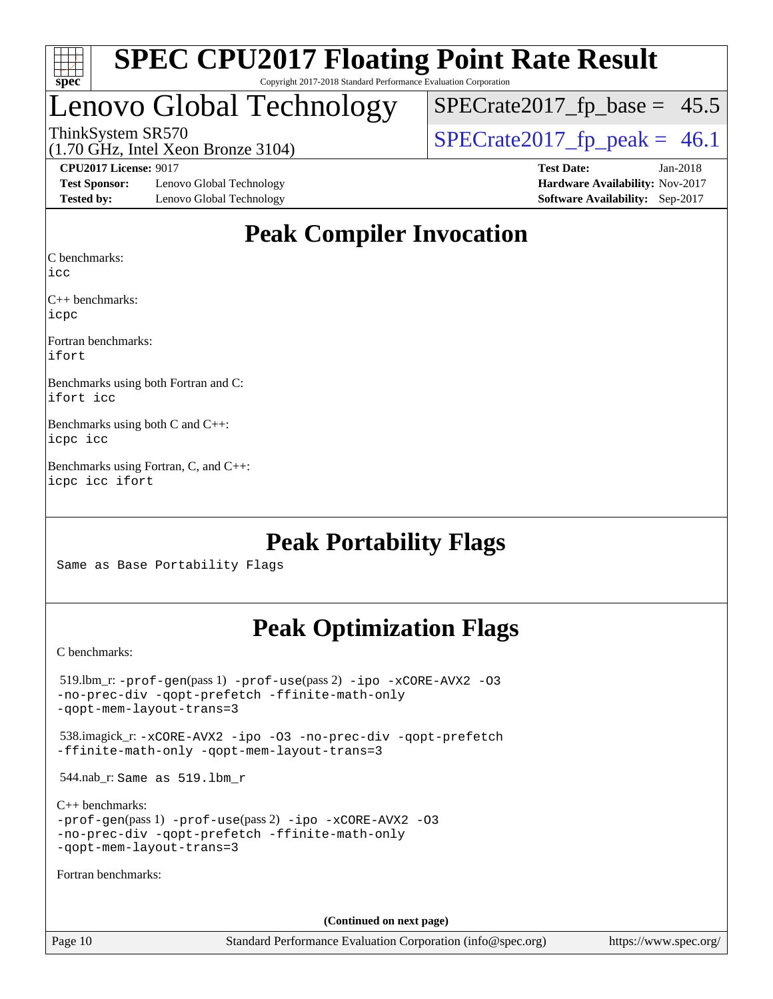

# Lenovo Global Technology

 $SPECTate2017_fp\_base = 45.5$ 

(1.70 GHz, Intel Xeon Bronze 3104)

ThinkSystem SR570<br>(1.70 GHz, Intel Xeon Bronze 3104) [SPECrate2017\\_fp\\_peak =](http://www.spec.org/auto/cpu2017/Docs/result-fields.html#SPECrate2017fppeak) 46.1

**[Test Sponsor:](http://www.spec.org/auto/cpu2017/Docs/result-fields.html#TestSponsor)** Lenovo Global Technology **[Hardware Availability:](http://www.spec.org/auto/cpu2017/Docs/result-fields.html#HardwareAvailability)** Nov-2017 **[Tested by:](http://www.spec.org/auto/cpu2017/Docs/result-fields.html#Testedby)** Lenovo Global Technology **[Software Availability:](http://www.spec.org/auto/cpu2017/Docs/result-fields.html#SoftwareAvailability)** Sep-2017

**[CPU2017 License:](http://www.spec.org/auto/cpu2017/Docs/result-fields.html#CPU2017License)** 9017 **[Test Date:](http://www.spec.org/auto/cpu2017/Docs/result-fields.html#TestDate)** Jan-2018

# **[Peak Compiler Invocation](http://www.spec.org/auto/cpu2017/Docs/result-fields.html#PeakCompilerInvocation)**

[C benchmarks](http://www.spec.org/auto/cpu2017/Docs/result-fields.html#Cbenchmarks):

[icc](http://www.spec.org/cpu2017/results/res2018q1/cpu2017-20180122-02979.flags.html#user_CCpeak_intel_icc_18.0_66fc1ee009f7361af1fbd72ca7dcefbb700085f36577c54f309893dd4ec40d12360134090235512931783d35fd58c0460139e722d5067c5574d8eaf2b3e37e92)

[C++ benchmarks:](http://www.spec.org/auto/cpu2017/Docs/result-fields.html#CXXbenchmarks) [icpc](http://www.spec.org/cpu2017/results/res2018q1/cpu2017-20180122-02979.flags.html#user_CXXpeak_intel_icpc_18.0_c510b6838c7f56d33e37e94d029a35b4a7bccf4766a728ee175e80a419847e808290a9b78be685c44ab727ea267ec2f070ec5dc83b407c0218cded6866a35d07)

[Fortran benchmarks](http://www.spec.org/auto/cpu2017/Docs/result-fields.html#Fortranbenchmarks): [ifort](http://www.spec.org/cpu2017/results/res2018q1/cpu2017-20180122-02979.flags.html#user_FCpeak_intel_ifort_18.0_8111460550e3ca792625aed983ce982f94888b8b503583aa7ba2b8303487b4d8a21a13e7191a45c5fd58ff318f48f9492884d4413fa793fd88dd292cad7027ca)

[Benchmarks using both Fortran and C](http://www.spec.org/auto/cpu2017/Docs/result-fields.html#BenchmarksusingbothFortranandC): [ifort](http://www.spec.org/cpu2017/results/res2018q1/cpu2017-20180122-02979.flags.html#user_CC_FCpeak_intel_ifort_18.0_8111460550e3ca792625aed983ce982f94888b8b503583aa7ba2b8303487b4d8a21a13e7191a45c5fd58ff318f48f9492884d4413fa793fd88dd292cad7027ca) [icc](http://www.spec.org/cpu2017/results/res2018q1/cpu2017-20180122-02979.flags.html#user_CC_FCpeak_intel_icc_18.0_66fc1ee009f7361af1fbd72ca7dcefbb700085f36577c54f309893dd4ec40d12360134090235512931783d35fd58c0460139e722d5067c5574d8eaf2b3e37e92)

[Benchmarks using both C and C++:](http://www.spec.org/auto/cpu2017/Docs/result-fields.html#BenchmarksusingbothCandCXX) [icpc](http://www.spec.org/cpu2017/results/res2018q1/cpu2017-20180122-02979.flags.html#user_CC_CXXpeak_intel_icpc_18.0_c510b6838c7f56d33e37e94d029a35b4a7bccf4766a728ee175e80a419847e808290a9b78be685c44ab727ea267ec2f070ec5dc83b407c0218cded6866a35d07) [icc](http://www.spec.org/cpu2017/results/res2018q1/cpu2017-20180122-02979.flags.html#user_CC_CXXpeak_intel_icc_18.0_66fc1ee009f7361af1fbd72ca7dcefbb700085f36577c54f309893dd4ec40d12360134090235512931783d35fd58c0460139e722d5067c5574d8eaf2b3e37e92)

[Benchmarks using Fortran, C, and C++](http://www.spec.org/auto/cpu2017/Docs/result-fields.html#BenchmarksusingFortranCandCXX): [icpc](http://www.spec.org/cpu2017/results/res2018q1/cpu2017-20180122-02979.flags.html#user_CC_CXX_FCpeak_intel_icpc_18.0_c510b6838c7f56d33e37e94d029a35b4a7bccf4766a728ee175e80a419847e808290a9b78be685c44ab727ea267ec2f070ec5dc83b407c0218cded6866a35d07) [icc](http://www.spec.org/cpu2017/results/res2018q1/cpu2017-20180122-02979.flags.html#user_CC_CXX_FCpeak_intel_icc_18.0_66fc1ee009f7361af1fbd72ca7dcefbb700085f36577c54f309893dd4ec40d12360134090235512931783d35fd58c0460139e722d5067c5574d8eaf2b3e37e92) [ifort](http://www.spec.org/cpu2017/results/res2018q1/cpu2017-20180122-02979.flags.html#user_CC_CXX_FCpeak_intel_ifort_18.0_8111460550e3ca792625aed983ce982f94888b8b503583aa7ba2b8303487b4d8a21a13e7191a45c5fd58ff318f48f9492884d4413fa793fd88dd292cad7027ca)

## **[Peak Portability Flags](http://www.spec.org/auto/cpu2017/Docs/result-fields.html#PeakPortabilityFlags)**

Same as Base Portability Flags

## **[Peak Optimization Flags](http://www.spec.org/auto/cpu2017/Docs/result-fields.html#PeakOptimizationFlags)**

[C benchmarks](http://www.spec.org/auto/cpu2017/Docs/result-fields.html#Cbenchmarks):

 519.lbm\_r: [-prof-gen](http://www.spec.org/cpu2017/results/res2018q1/cpu2017-20180122-02979.flags.html#user_peakPASS1_CFLAGSPASS1_LDFLAGS519_lbm_r_prof_gen_5aa4926d6013ddb2a31985c654b3eb18169fc0c6952a63635c234f711e6e63dd76e94ad52365559451ec499a2cdb89e4dc58ba4c67ef54ca681ffbe1461d6b36)(pass 1) [-prof-use](http://www.spec.org/cpu2017/results/res2018q1/cpu2017-20180122-02979.flags.html#user_peakPASS2_CFLAGSPASS2_LDFLAGS519_lbm_r_prof_use_1a21ceae95f36a2b53c25747139a6c16ca95bd9def2a207b4f0849963b97e94f5260e30a0c64f4bb623698870e679ca08317ef8150905d41bd88c6f78df73f19)(pass 2) [-ipo](http://www.spec.org/cpu2017/results/res2018q1/cpu2017-20180122-02979.flags.html#user_peakPASS1_COPTIMIZEPASS2_COPTIMIZE519_lbm_r_f-ipo) [-xCORE-AVX2](http://www.spec.org/cpu2017/results/res2018q1/cpu2017-20180122-02979.flags.html#user_peakPASS2_COPTIMIZE519_lbm_r_f-xCORE-AVX2) [-O3](http://www.spec.org/cpu2017/results/res2018q1/cpu2017-20180122-02979.flags.html#user_peakPASS1_COPTIMIZEPASS2_COPTIMIZE519_lbm_r_f-O3) [-no-prec-div](http://www.spec.org/cpu2017/results/res2018q1/cpu2017-20180122-02979.flags.html#user_peakPASS1_COPTIMIZEPASS2_COPTIMIZE519_lbm_r_f-no-prec-div) [-qopt-prefetch](http://www.spec.org/cpu2017/results/res2018q1/cpu2017-20180122-02979.flags.html#user_peakPASS1_COPTIMIZEPASS2_COPTIMIZE519_lbm_r_f-qopt-prefetch) [-ffinite-math-only](http://www.spec.org/cpu2017/results/res2018q1/cpu2017-20180122-02979.flags.html#user_peakPASS1_COPTIMIZEPASS2_COPTIMIZE519_lbm_r_f_finite_math_only_cb91587bd2077682c4b38af759c288ed7c732db004271a9512da14a4f8007909a5f1427ecbf1a0fb78ff2a814402c6114ac565ca162485bbcae155b5e4258871) [-qopt-mem-layout-trans=3](http://www.spec.org/cpu2017/results/res2018q1/cpu2017-20180122-02979.flags.html#user_peakPASS1_COPTIMIZEPASS2_COPTIMIZE519_lbm_r_f-qopt-mem-layout-trans_de80db37974c74b1f0e20d883f0b675c88c3b01e9d123adea9b28688d64333345fb62bc4a798493513fdb68f60282f9a726aa07f478b2f7113531aecce732043) 538.imagick\_r: [-xCORE-AVX2](http://www.spec.org/cpu2017/results/res2018q1/cpu2017-20180122-02979.flags.html#user_peakCOPTIMIZE538_imagick_r_f-xCORE-AVX2) [-ipo](http://www.spec.org/cpu2017/results/res2018q1/cpu2017-20180122-02979.flags.html#user_peakCOPTIMIZE538_imagick_r_f-ipo) [-O3](http://www.spec.org/cpu2017/results/res2018q1/cpu2017-20180122-02979.flags.html#user_peakCOPTIMIZE538_imagick_r_f-O3) [-no-prec-div](http://www.spec.org/cpu2017/results/res2018q1/cpu2017-20180122-02979.flags.html#user_peakCOPTIMIZE538_imagick_r_f-no-prec-div) [-qopt-prefetch](http://www.spec.org/cpu2017/results/res2018q1/cpu2017-20180122-02979.flags.html#user_peakCOPTIMIZE538_imagick_r_f-qopt-prefetch) [-ffinite-math-only](http://www.spec.org/cpu2017/results/res2018q1/cpu2017-20180122-02979.flags.html#user_peakCOPTIMIZE538_imagick_r_f_finite_math_only_cb91587bd2077682c4b38af759c288ed7c732db004271a9512da14a4f8007909a5f1427ecbf1a0fb78ff2a814402c6114ac565ca162485bbcae155b5e4258871) [-qopt-mem-layout-trans=3](http://www.spec.org/cpu2017/results/res2018q1/cpu2017-20180122-02979.flags.html#user_peakCOPTIMIZE538_imagick_r_f-qopt-mem-layout-trans_de80db37974c74b1f0e20d883f0b675c88c3b01e9d123adea9b28688d64333345fb62bc4a798493513fdb68f60282f9a726aa07f478b2f7113531aecce732043) 544.nab\_r: Same as 519.lbm\_r [C++ benchmarks:](http://www.spec.org/auto/cpu2017/Docs/result-fields.html#CXXbenchmarks) [-prof-gen](http://www.spec.org/cpu2017/results/res2018q1/cpu2017-20180122-02979.flags.html#user_CXXpeak_prof_gen_5aa4926d6013ddb2a31985c654b3eb18169fc0c6952a63635c234f711e6e63dd76e94ad52365559451ec499a2cdb89e4dc58ba4c67ef54ca681ffbe1461d6b36)(pass 1) [-prof-use](http://www.spec.org/cpu2017/results/res2018q1/cpu2017-20180122-02979.flags.html#user_CXXpeak_prof_use_1a21ceae95f36a2b53c25747139a6c16ca95bd9def2a207b4f0849963b97e94f5260e30a0c64f4bb623698870e679ca08317ef8150905d41bd88c6f78df73f19)(pass 2) [-ipo](http://www.spec.org/cpu2017/results/res2018q1/cpu2017-20180122-02979.flags.html#user_CXXpeak_f-ipo) [-xCORE-AVX2](http://www.spec.org/cpu2017/results/res2018q1/cpu2017-20180122-02979.flags.html#user_CXXpeak_f-xCORE-AVX2) [-O3](http://www.spec.org/cpu2017/results/res2018q1/cpu2017-20180122-02979.flags.html#user_CXXpeak_f-O3) [-no-prec-div](http://www.spec.org/cpu2017/results/res2018q1/cpu2017-20180122-02979.flags.html#user_CXXpeak_f-no-prec-div) [-qopt-prefetch](http://www.spec.org/cpu2017/results/res2018q1/cpu2017-20180122-02979.flags.html#user_CXXpeak_f-qopt-prefetch) [-ffinite-math-only](http://www.spec.org/cpu2017/results/res2018q1/cpu2017-20180122-02979.flags.html#user_CXXpeak_f_finite_math_only_cb91587bd2077682c4b38af759c288ed7c732db004271a9512da14a4f8007909a5f1427ecbf1a0fb78ff2a814402c6114ac565ca162485bbcae155b5e4258871) [-qopt-mem-layout-trans=3](http://www.spec.org/cpu2017/results/res2018q1/cpu2017-20180122-02979.flags.html#user_CXXpeak_f-qopt-mem-layout-trans_de80db37974c74b1f0e20d883f0b675c88c3b01e9d123adea9b28688d64333345fb62bc4a798493513fdb68f60282f9a726aa07f478b2f7113531aecce732043) [Fortran benchmarks](http://www.spec.org/auto/cpu2017/Docs/result-fields.html#Fortranbenchmarks): **(Continued on next page)**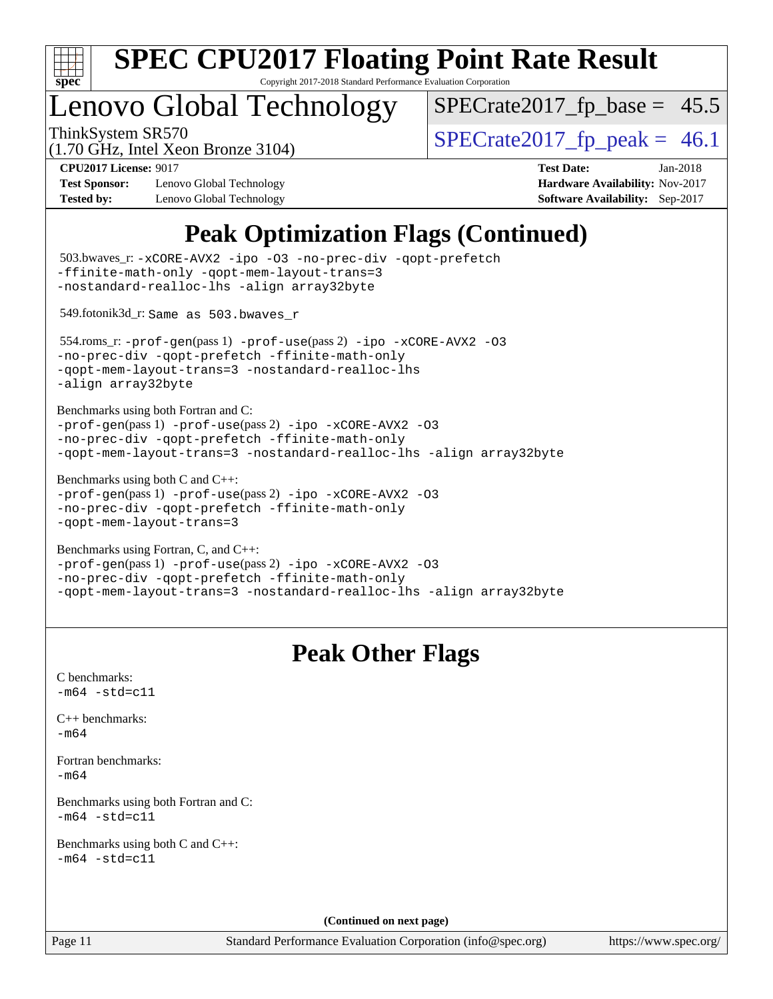

Copyright 2017-2018 Standard Performance Evaluation Corporation

# Lenovo Global Technology

 $SPECTate2017_fp\_base = 45.5$ 

(1.70 GHz, Intel Xeon Bronze 3104)

ThinkSystem SR570<br>(1.70 GHz, Intel Year Bronze 3104) [SPECrate2017\\_fp\\_peak =](http://www.spec.org/auto/cpu2017/Docs/result-fields.html#SPECrate2017fppeak) 46.1

**[Test Sponsor:](http://www.spec.org/auto/cpu2017/Docs/result-fields.html#TestSponsor)** Lenovo Global Technology **[Hardware Availability:](http://www.spec.org/auto/cpu2017/Docs/result-fields.html#HardwareAvailability)** Nov-2017 **[Tested by:](http://www.spec.org/auto/cpu2017/Docs/result-fields.html#Testedby)** Lenovo Global Technology **[Software Availability:](http://www.spec.org/auto/cpu2017/Docs/result-fields.html#SoftwareAvailability)** Sep-2017

**[CPU2017 License:](http://www.spec.org/auto/cpu2017/Docs/result-fields.html#CPU2017License)** 9017 **[Test Date:](http://www.spec.org/auto/cpu2017/Docs/result-fields.html#TestDate)** Jan-2018

# **[Peak Optimization Flags \(Continued\)](http://www.spec.org/auto/cpu2017/Docs/result-fields.html#PeakOptimizationFlags)**

```
(info@spec.org)https://www.spec.org/
  503.bwaves_r: -xCORE-AVX2 -ipo -O3 -no-prec-div -qopt-prefetch
-ffinite-math-only -qopt-mem-layout-trans=3
-nostandard-realloc-lhs -align array32byte
  549.fotonik3d_r: Same as 503.bwaves_r
  554.roms_r: -prof-gen(pass 1) -prof-use(pass 2) -ipo -xCORE-AVX2 -O3
-no-prec-div -qopt-prefetch -ffinite-math-only
-qopt-mem-layout-trans=3 -nostandard-realloc-lhs
-align array32byte
Benchmarks using both Fortran and C: 
-prof-gen(pass 1) -prof-use(pass 2) -ipo -xCORE-AVX2 -O3
-no-prec-div -qopt-prefetch -ffinite-math-only
-qopt-mem-layout-trans=3 -nostandard-realloc-lhs -align array32byte
Benchmarks using both C and C++: 
-prof-gen(pass 1) -prof-use(pass 2) -ipo -xCORE-AVX2 -O3
-no-prec-div -qopt-prefetch -ffinite-math-only
-qopt-mem-layout-trans=3
Benchmarks using Fortran, C, and C++: 
-prof-gen(pass 1) -prof-use(pass 2) -ipo -xCORE-AVX2 -O3
-no-prec-div -qopt-prefetch -ffinite-math-only
-qopt-mem-layout-trans=3 -nostandard-realloc-lhs -align array32byte
                                 Peak Other Flags
C benchmarks: 
-m64 - std= c11C++ benchmarks: 
-m64Fortran benchmarks: 
-m64
Benchmarks using both Fortran and C: 
-m64 - std= c11Benchmarks using both C and C++: 
-m64 - std= c11(Continued on next page)
```